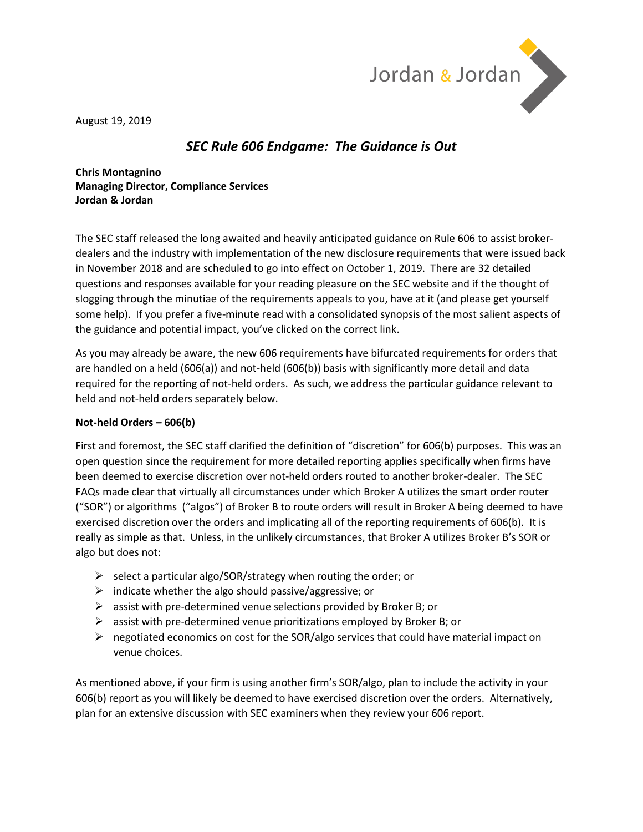

August 19, 2019

### *SEC Rule 606 Endgame: The Guidance is Out*

**Chris Montagnino Managing Director, Compliance Services Jordan & Jordan**

The SEC staff released the long awaited and heavily anticipated guidance on Rule 606 to assist brokerdealers and the industry with implementation of the new disclosure requirements that were issued back in November 2018 and are scheduled to go into effect on October 1, 2019. There are 32 detailed questions and responses available for your reading pleasure on the SEC website and if the thought of slogging through the minutiae of the requirements appeals to you, have at it (and please get yourself some help). If you prefer a five-minute read with a consolidated synopsis of the most salient aspects of the guidance and potential impact, you've clicked on the correct link.

As you may already be aware, the new 606 requirements have bifurcated requirements for orders that are handled on a held (606(a)) and not-held (606(b)) basis with significantly more detail and data required for the reporting of not-held orders. As such, we address the particular guidance relevant to held and not-held orders separately below.

### **Not-held Orders – 606(b)**

First and foremost, the SEC staff clarified the definition of "discretion" for 606(b) purposes. This was an open question since the requirement for more detailed reporting applies specifically when firms have been deemed to exercise discretion over not-held orders routed to another broker-dealer. The SEC FAQs made clear that virtually all circumstances under which Broker A utilizes the smart order router ("SOR") or algorithms ("algos") of Broker B to route orders will result in Broker A being deemed to have exercised discretion over the orders and implicating all of the reporting requirements of 606(b). It is really as simple as that. Unless, in the unlikely circumstances, that Broker A utilizes Broker B's SOR or algo but does not:

- $\triangleright$  select a particular algo/SOR/strategy when routing the order; or
- $\triangleright$  indicate whether the algo should passive/aggressive; or
- $\triangleright$  assist with pre-determined venue selections provided by Broker B; or
- $\triangleright$  assist with pre-determined venue prioritizations employed by Broker B; or
- $\triangleright$  negotiated economics on cost for the SOR/algo services that could have material impact on venue choices.

As mentioned above, if your firm is using another firm's SOR/algo, plan to include the activity in your 606(b) report as you will likely be deemed to have exercised discretion over the orders. Alternatively, plan for an extensive discussion with SEC examiners when they review your 606 report.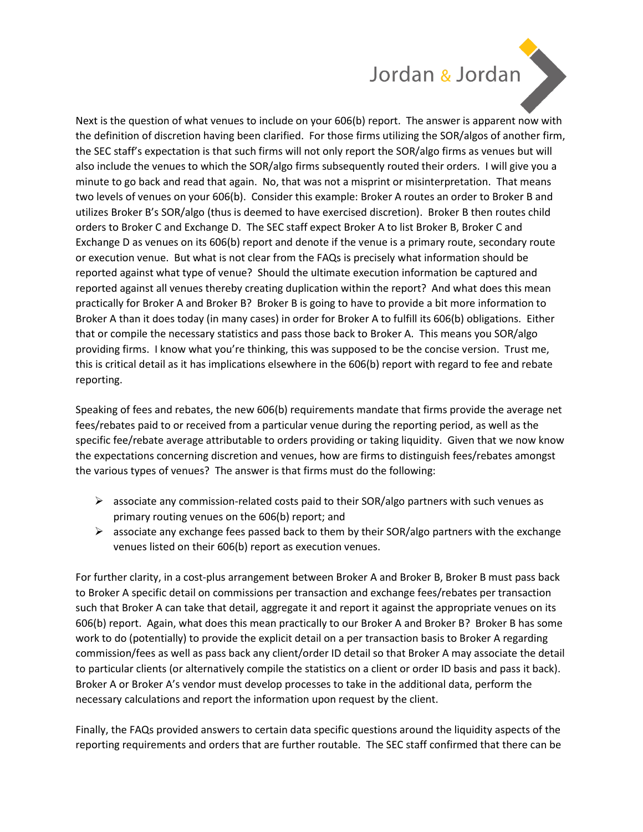## Jordan & Jordan



Next is the question of what venues to include on your 606(b) report. The answer is apparent now with the definition of discretion having been clarified. For those firms utilizing the SOR/algos of another firm, the SEC staff's expectation is that such firms will not only report the SOR/algo firms as venues but will also include the venues to which the SOR/algo firms subsequently routed their orders. I will give you a minute to go back and read that again. No, that was not a misprint or misinterpretation. That means two levels of venues on your 606(b). Consider this example: Broker A routes an order to Broker B and utilizes Broker B's SOR/algo (thus is deemed to have exercised discretion). Broker B then routes child orders to Broker C and Exchange D. The SEC staff expect Broker A to list Broker B, Broker C and Exchange D as venues on its 606(b) report and denote if the venue is a primary route, secondary route or execution venue. But what is not clear from the FAQs is precisely what information should be reported against what type of venue? Should the ultimate execution information be captured and reported against all venues thereby creating duplication within the report? And what does this mean practically for Broker A and Broker B? Broker B is going to have to provide a bit more information to Broker A than it does today (in many cases) in order for Broker A to fulfill its 606(b) obligations. Either that or compile the necessary statistics and pass those back to Broker A. This means you SOR/algo providing firms. I know what you're thinking, this was supposed to be the concise version. Trust me, this is critical detail as it has implications elsewhere in the 606(b) report with regard to fee and rebate reporting.

Speaking of fees and rebates, the new 606(b) requirements mandate that firms provide the average net fees/rebates paid to or received from a particular venue during the reporting period, as well as the specific fee/rebate average attributable to orders providing or taking liquidity. Given that we now know the expectations concerning discretion and venues, how are firms to distinguish fees/rebates amongst the various types of venues? The answer is that firms must do the following:

- $\triangleright$  associate any commission-related costs paid to their SOR/algo partners with such venues as primary routing venues on the 606(b) report; and
- $\triangleright$  associate any exchange fees passed back to them by their SOR/algo partners with the exchange venues listed on their 606(b) report as execution venues.

For further clarity, in a cost-plus arrangement between Broker A and Broker B, Broker B must pass back to Broker A specific detail on commissions per transaction and exchange fees/rebates per transaction such that Broker A can take that detail, aggregate it and report it against the appropriate venues on its 606(b) report. Again, what does this mean practically to our Broker A and Broker B? Broker B has some work to do (potentially) to provide the explicit detail on a per transaction basis to Broker A regarding commission/fees as well as pass back any client/order ID detail so that Broker A may associate the detail to particular clients (or alternatively compile the statistics on a client or order ID basis and pass it back). Broker A or Broker A's vendor must develop processes to take in the additional data, perform the necessary calculations and report the information upon request by the client.

Finally, the FAQs provided answers to certain data specific questions around the liquidity aspects of the reporting requirements and orders that are further routable. The SEC staff confirmed that there can be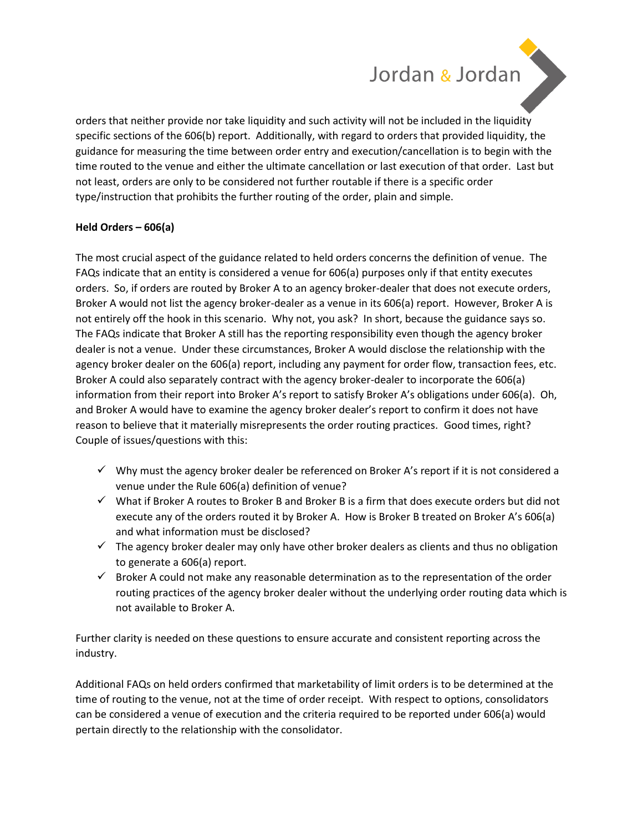# Jordan & Jordan



### **Held Orders – 606(a)**

The most crucial aspect of the guidance related to held orders concerns the definition of venue. The FAQs indicate that an entity is considered a venue for 606(a) purposes only if that entity executes orders. So, if orders are routed by Broker A to an agency broker-dealer that does not execute orders, Broker A would not list the agency broker-dealer as a venue in its 606(a) report. However, Broker A is not entirely off the hook in this scenario. Why not, you ask? In short, because the guidance says so. The FAQs indicate that Broker A still has the reporting responsibility even though the agency broker dealer is not a venue. Under these circumstances, Broker A would disclose the relationship with the agency broker dealer on the 606(a) report, including any payment for order flow, transaction fees, etc. Broker A could also separately contract with the agency broker-dealer to incorporate the 606(a) information from their report into Broker A's report to satisfy Broker A's obligations under 606(a). Oh, and Broker A would have to examine the agency broker dealer's report to confirm it does not have reason to believe that it materially misrepresents the order routing practices. Good times, right? Couple of issues/questions with this:

- ✓ Why must the agency broker dealer be referenced on Broker A's report if it is not considered a venue under the Rule 606(a) definition of venue?
- $\checkmark$  What if Broker A routes to Broker B and Broker B is a firm that does execute orders but did not execute any of the orders routed it by Broker A. How is Broker B treated on Broker A's 606(a) and what information must be disclosed?
- $\checkmark$  The agency broker dealer may only have other broker dealers as clients and thus no obligation to generate a 606(a) report.
- $\checkmark$  Broker A could not make any reasonable determination as to the representation of the order routing practices of the agency broker dealer without the underlying order routing data which is not available to Broker A.

Further clarity is needed on these questions to ensure accurate and consistent reporting across the industry.

Additional FAQs on held orders confirmed that marketability of limit orders is to be determined at the time of routing to the venue, not at the time of order receipt. With respect to options, consolidators can be considered a venue of execution and the criteria required to be reported under 606(a) would pertain directly to the relationship with the consolidator.